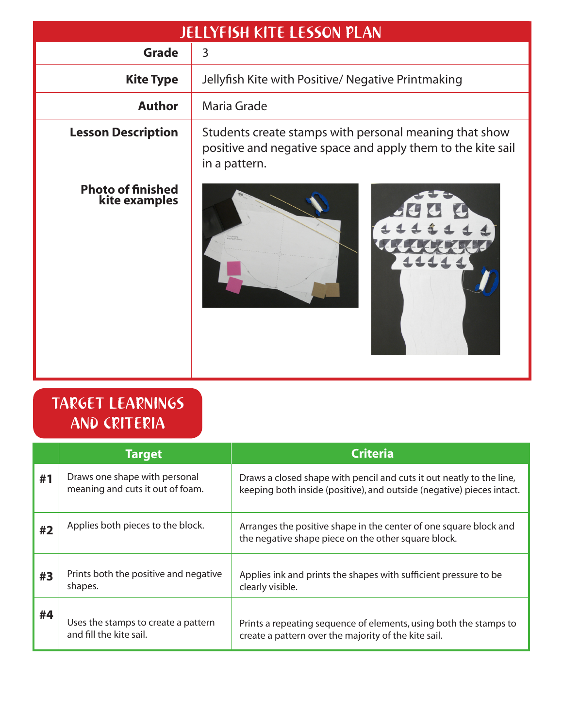| <b>JELLYFISH KITE LESSON PLAN</b>         |                                                                                                                                        |  |  |  |
|-------------------------------------------|----------------------------------------------------------------------------------------------------------------------------------------|--|--|--|
| <b>Grade</b>                              | 3                                                                                                                                      |  |  |  |
| <b>Kite Type</b>                          | Jellyfish Kite with Positive/ Negative Printmaking                                                                                     |  |  |  |
| <b>Author</b>                             | Maria Grade                                                                                                                            |  |  |  |
| <b>Lesson Description</b>                 | Students create stamps with personal meaning that show<br>positive and negative space and apply them to the kite sail<br>in a pattern. |  |  |  |
| <b>Photo of finished</b><br>kite examples |                                                                                                                                        |  |  |  |

# TARGET LEARNINGS AND CRITERIA

|    | <b>Target</b>                                                     | <b>Criteria</b>                                                                                                                               |
|----|-------------------------------------------------------------------|-----------------------------------------------------------------------------------------------------------------------------------------------|
| #1 | Draws one shape with personal<br>meaning and cuts it out of foam. | Draws a closed shape with pencil and cuts it out neatly to the line,<br>keeping both inside (positive), and outside (negative) pieces intact. |
| #2 | Applies both pieces to the block.                                 | Arranges the positive shape in the center of one square block and<br>the negative shape piece on the other square block.                      |
| #3 | Prints both the positive and negative<br>shapes.                  | Applies ink and prints the shapes with sufficient pressure to be<br>clearly visible.                                                          |
| #4 | Uses the stamps to create a pattern<br>and fill the kite sail.    | Prints a repeating sequence of elements, using both the stamps to<br>create a pattern over the majority of the kite sail.                     |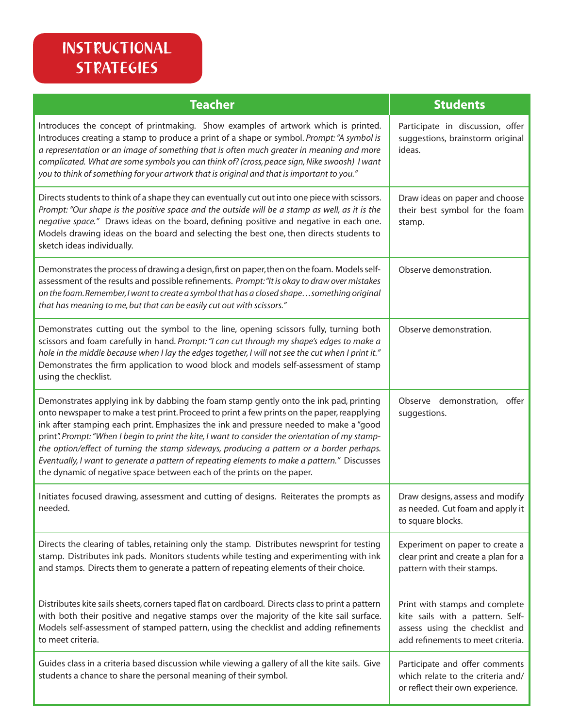## INSTRUCTIONAL STRATEGIES

| <b>Teacher</b>                                                                                                                                                                                                                                                                                                                                                                                                                                                                                                                                                                                                                                           | <b>Students</b>                                                                                                                           |
|----------------------------------------------------------------------------------------------------------------------------------------------------------------------------------------------------------------------------------------------------------------------------------------------------------------------------------------------------------------------------------------------------------------------------------------------------------------------------------------------------------------------------------------------------------------------------------------------------------------------------------------------------------|-------------------------------------------------------------------------------------------------------------------------------------------|
| Introduces the concept of printmaking. Show examples of artwork which is printed.<br>Introduces creating a stamp to produce a print of a shape or symbol. Prompt: "A symbol is<br>a representation or an image of something that is often much greater in meaning and more<br>complicated. What are some symbols you can think of? (cross, peace sign, Nike swoosh) I want<br>you to think of something for your artwork that is original and that is important to you."                                                                                                                                                                                 | Participate in discussion, offer<br>suggestions, brainstorm original<br>ideas.                                                            |
| Directs students to think of a shape they can eventually cut out into one piece with scissors.<br>Prompt: "Our shape is the positive space and the outside will be a stamp as well, as it is the<br>negative space." Draws ideas on the board, defining positive and negative in each one.<br>Models drawing ideas on the board and selecting the best one, then directs students to<br>sketch ideas individually.                                                                                                                                                                                                                                       | Draw ideas on paper and choose<br>their best symbol for the foam<br>stamp.                                                                |
| Demonstrates the process of drawing a design, first on paper, then on the foam. Models self-<br>assessment of the results and possible refinements. Prompt: "It is okay to draw over mistakes<br>on the foam. Remember, I want to create a symbol that has a closed shape something original<br>that has meaning to me, but that can be easily cut out with scissors."                                                                                                                                                                                                                                                                                   | Observe demonstration.                                                                                                                    |
| Demonstrates cutting out the symbol to the line, opening scissors fully, turning both<br>scissors and foam carefully in hand. Prompt: "I can cut through my shape's edges to make a<br>hole in the middle because when I lay the edges together, I will not see the cut when I print it."<br>Demonstrates the firm application to wood block and models self-assessment of stamp<br>using the checklist.                                                                                                                                                                                                                                                 | Observe demonstration.                                                                                                                    |
| Demonstrates applying ink by dabbing the foam stamp gently onto the ink pad, printing<br>onto newspaper to make a test print. Proceed to print a few prints on the paper, reapplying<br>ink after stamping each print. Emphasizes the ink and pressure needed to make a "good<br>print". Prompt: "When I begin to print the kite, I want to consider the orientation of my stamp-<br>the option/effect of turning the stamp sideways, producing a pattern or a border perhaps.<br>Eventually, I want to generate a pattern of repeating elements to make a pattern." Discusses<br>the dynamic of negative space between each of the prints on the paper. | Observe demonstration, offer<br>suggestions.                                                                                              |
| Initiates focused drawing, assessment and cutting of designs. Reiterates the prompts as<br>needed.                                                                                                                                                                                                                                                                                                                                                                                                                                                                                                                                                       | Draw designs, assess and modify<br>as needed. Cut foam and apply it<br>to square blocks.                                                  |
| Directs the clearing of tables, retaining only the stamp. Distributes newsprint for testing<br>stamp. Distributes ink pads. Monitors students while testing and experimenting with ink<br>and stamps. Directs them to generate a pattern of repeating elements of their choice.                                                                                                                                                                                                                                                                                                                                                                          | Experiment on paper to create a<br>clear print and create a plan for a<br>pattern with their stamps.                                      |
| Distributes kite sails sheets, corners taped flat on cardboard. Directs class to print a pattern<br>with both their positive and negative stamps over the majority of the kite sail surface.<br>Models self-assessment of stamped pattern, using the checklist and adding refinements<br>to meet criteria.                                                                                                                                                                                                                                                                                                                                               | Print with stamps and complete<br>kite sails with a pattern. Self-<br>assess using the checklist and<br>add refinements to meet criteria. |
| Guides class in a criteria based discussion while viewing a gallery of all the kite sails. Give<br>students a chance to share the personal meaning of their symbol.                                                                                                                                                                                                                                                                                                                                                                                                                                                                                      | Participate and offer comments<br>which relate to the criteria and/<br>or reflect their own experience.                                   |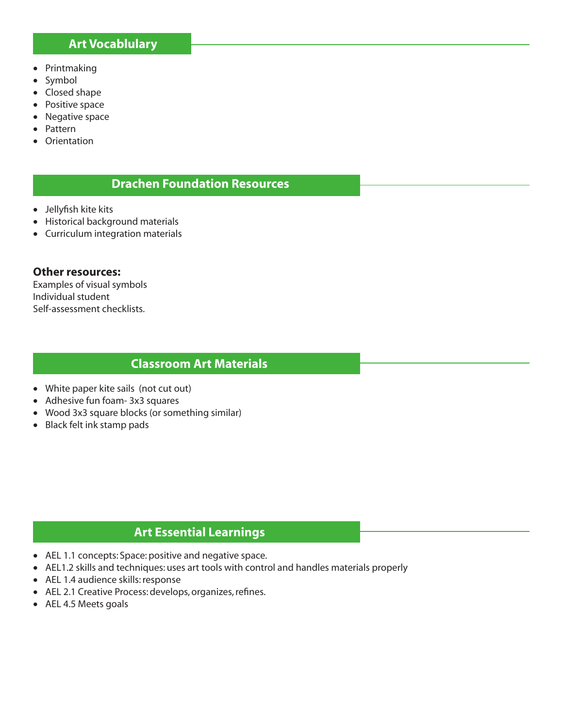### **Art Vocablulary**

- Printmaking
- Symbol
- Closed shape
- Positive space
- Negative space
- Pattern
- **Orientation**

## **Drachen Foundation Resources**

- Jellyfish kite kits
- Historical background materials
- Curriculum integration materials

#### **Other resources:**

Examples of visual symbols Individual student Self-assessment checklists.

### **Classroom Art Materials**

- White paper kite sails (not cut out)
- Adhesive fun foam- 3x3 squares
- Wood 3x3 square blocks (or something similar)
- Black felt ink stamp pads

## **Art Essential Learnings**

- AEL 1.1 concepts: Space: positive and negative space.
- AEL1.2 skills and techniques: uses art tools with control and handles materials properly
- AEL 1.4 audience skills: response
- AEL 2.1 Creative Process: develops, organizes, refines.
- AEL 4.5 Meets goals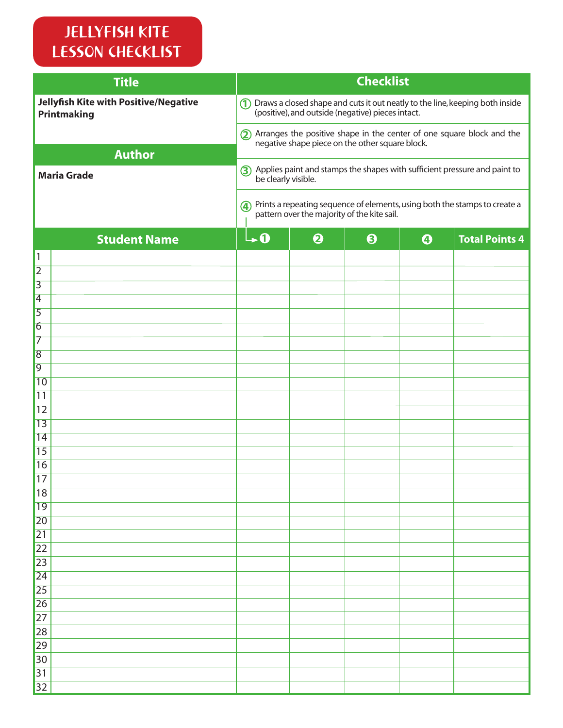# JELLYFISH KITE LESSON CHECKLIST

| <b>Title</b>                                                |                                                                                                                                      |                                                 | <b>Checklist</b>      |                       |                                                                          |
|-------------------------------------------------------------|--------------------------------------------------------------------------------------------------------------------------------------|-------------------------------------------------|-----------------------|-----------------------|--------------------------------------------------------------------------|
| Jellyfish Kite with Positive/Negative<br><b>Printmaking</b> | 1) Draws a closed shape and cuts it out neatly to the line, keeping both inside<br>(positive), and outside (negative) pieces intact. |                                                 |                       |                       |                                                                          |
|                                                             |                                                                                                                                      | negative shape piece on the other square block. |                       |                       | 2) Arranges the positive shape in the center of one square block and the |
| <b>Author</b>                                               |                                                                                                                                      |                                                 |                       |                       |                                                                          |
| <b>Maria Grade</b>                                          | 3) Applies paint and stamps the shapes with sufficient pressure and paint to<br>be clearly visible.                                  |                                                 |                       |                       |                                                                          |
|                                                             | (4) Prints a repeating sequence of elements, using both the stamps to create a<br>pattern over the majority of the kite sail.        |                                                 |                       |                       |                                                                          |
| <b>Student Name</b>                                         | $\mathbf{L} \mathbf{0}$                                                                                                              | $\boldsymbol{\Theta}$                           | $\boldsymbol{\Theta}$ | $\boldsymbol{\Theta}$ | <b>Total Points 4</b>                                                    |
| $\vert$ 1                                                   |                                                                                                                                      |                                                 |                       |                       |                                                                          |
| $\overline{2}$<br>$\overline{3}$                            |                                                                                                                                      |                                                 |                       |                       |                                                                          |
| $\vert 4$                                                   |                                                                                                                                      |                                                 |                       |                       |                                                                          |
| $\overline{5}$                                              |                                                                                                                                      |                                                 |                       |                       |                                                                          |
| $\vert 6 \vert$                                             |                                                                                                                                      |                                                 |                       |                       |                                                                          |
| 17                                                          |                                                                                                                                      |                                                 |                       |                       |                                                                          |
| 8                                                           |                                                                                                                                      |                                                 |                       |                       |                                                                          |
| $\overline{9}$                                              |                                                                                                                                      |                                                 |                       |                       |                                                                          |
| 10                                                          |                                                                                                                                      |                                                 |                       |                       |                                                                          |
| 11                                                          |                                                                                                                                      |                                                 |                       |                       |                                                                          |
| 12                                                          |                                                                                                                                      |                                                 |                       |                       |                                                                          |
| 13<br>14                                                    |                                                                                                                                      |                                                 |                       |                       |                                                                          |
| 15                                                          |                                                                                                                                      |                                                 |                       |                       |                                                                          |
| 16                                                          |                                                                                                                                      |                                                 |                       |                       |                                                                          |
| 17                                                          |                                                                                                                                      |                                                 |                       |                       |                                                                          |
| 18                                                          |                                                                                                                                      |                                                 |                       |                       |                                                                          |
| $\overline{19}$                                             |                                                                                                                                      |                                                 |                       |                       |                                                                          |
| 20                                                          |                                                                                                                                      |                                                 |                       |                       |                                                                          |
| 21                                                          |                                                                                                                                      |                                                 |                       |                       |                                                                          |
| 22                                                          |                                                                                                                                      |                                                 |                       |                       |                                                                          |
| 23                                                          |                                                                                                                                      |                                                 |                       |                       |                                                                          |
| $\overline{24}$                                             |                                                                                                                                      |                                                 |                       |                       |                                                                          |
| $\overline{25}$                                             |                                                                                                                                      |                                                 |                       |                       |                                                                          |
| 26<br>27                                                    |                                                                                                                                      |                                                 |                       |                       |                                                                          |
| 28                                                          |                                                                                                                                      |                                                 |                       |                       |                                                                          |
| 29                                                          |                                                                                                                                      |                                                 |                       |                       |                                                                          |
| 30                                                          |                                                                                                                                      |                                                 |                       |                       |                                                                          |
| 31                                                          |                                                                                                                                      |                                                 |                       |                       |                                                                          |
| 32                                                          |                                                                                                                                      |                                                 |                       |                       |                                                                          |